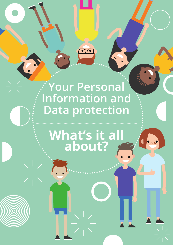## **Your Personal Information and Data protection**

# **What's it all about?**

6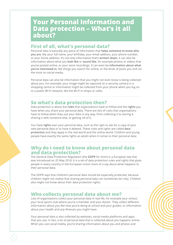### **Your Personal Information and Data protection – What's it all about?**

#### **First of all, what's personal data?**

Personal data is basically any piece of information that **helps someone to know who you are**, like your full name, your birthday, your email address, your phone number, or your home address. It's not only information that's **written down**, it can also be information about what you **look like** or **sound like**, for example photos or videos that you've posted online, or your voice recordings. It can even be **information about what you're interested in**, like things you search for online, or the kinds of posts you click on the most on social media.

Personal data can also be information that you might not even know is being collected about you. For example, your image might be captured on a security camera in a shopping centre or information might be collected from your phone when you log on to a public Wi-Fi network, like the Wi-Fi in shops or cafes.

#### **So what's data protection then?**

Data protection is about the **rules** that organisations have to follow and the **rights** you have when you share your personal data. There are lots of rules that organisations have to follow when they use your data in any way, from collecting it to storing it, sharing it with someone else, or getting rid of it.

You have **rights** over your personal data, such as the right to ask for a copy of your own personal data or to have it deleted. These rules and rights are called **data protection** and they apply in the real world and the online world. Children and young people have exactly the same rights as adults when it comes to their personal data.

#### **Why do I need to know about personal data and data protection?**

The General Data Protection Regulation (the **GDPR** for short) is a European law that was introduced on 25 May 2018. It is a set of data protection rules and rights that gives people in every country in the European Union more of a say about what happens to their personal data.

The GDPR says that children's personal data should be especially protected, because children might not realise that sharing personal data can sometimes be risky. Children also might not know about their data protection rights.

#### **Who collects personal data about me?**

Lots of organisations collect your personal data in real life, for example your school, your local sports club where you're a member and your doctor. They collect different information about you like how you're doing at school and your grades, or information about your health and any illnesses you might have.

Your personal data is also collected by websites, social media platforms and apps that you use. In fact, a lot of personal data that is collected about you happens online. When you use social media, you're sharing information about you and photos and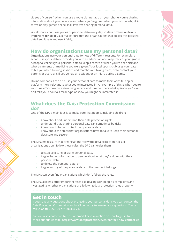videos of yourself. When you use a route planner app on your phone, you're sharing information about your location and where you're going. When you click on ads, fill in forms or play games online, it all involves sharing personal data.

We all share countless pieces of personal data every day so **data protection law is important for all of us**. It makes sure that the organisations that collect this personal data keep it safe and use it fairly.

#### **How do organisations use my personal data?**

**Organisations** use your personal data for lots of different reasons. For example, a school uses your data to provide you with an education and keep track of your grades. A hospital collects your personal data to keep a record of when you've been sick and what treatments or medicine you were given. Your local sports club uses your data to tell you when training sessions and matches are taking place, or to contact your parents or guardians if you've had an accident or an injury during a game.

Online companies can also use your personal data to make their website, app or platform more relevant to what you're interested in. An example of this is when you're watching a TV show on a streaming service and it remembers what episode you're on or it tells you about a similar type of show you might be interested in.

#### **What does the Data Protection Commission do?**

One of the DPC's main jobs is to make sure that people, including children:

- **•** know about and understand their data protection rights
- **•** understand that sharing personal data can sometimes be risky
- **•** know how to better protect their personal data
- **•** know about the steps that organisations have to take to keep their personal data safe and secure.

The DPC makes sure that organisations follow the data protection rules. If organisations don't follow these rules, the DPC can order them:

- **•** to stop collecting or using personal data,
- **•** to give better information to people about what they're doing with their personal data,
- **•** to delete the personal data, or
- **•** to give a copy of the personal data to the person it belongs to.

The DPC can even fine organisations which don't follow the rules.

The DPC also has other important tasks like dealing with people's complaints and investigating whether organisations are following data protection rules properly.

#### **Get in touch**

**3**

If you have any questions about protecting your personal data, you can contact the Data Protection Commission and we'll be happy to answer your questions. You can call us on **01 7650100** or **1800437 737**.

You can also contact us by post or email. For information on how to get in touch, check out our website: **<https://www.dataprotection.ie/en/contact/how-contact-us>**